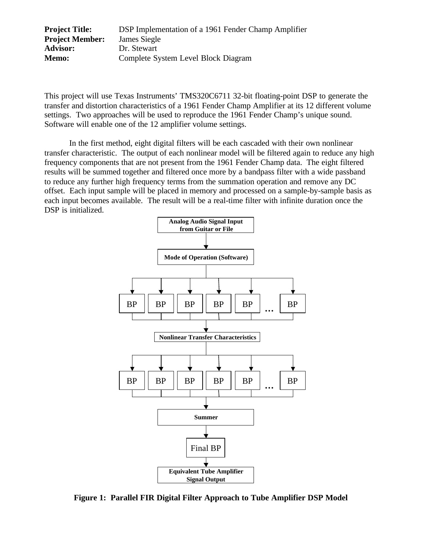| <b>Project Title:</b>  | DSP Implementation of a 1961 Fender Champ Amplifier |
|------------------------|-----------------------------------------------------|
| <b>Project Member:</b> | James Siegle                                        |
| <b>Advisor:</b>        | Dr. Stewart                                         |
| Memo:                  | Complete System Level Block Diagram                 |

This project will use Texas Instruments' TMS320C6711 32-bit floating-point DSP to generate the transfer and distortion characteristics of a 1961 Fender Champ Amplifier at its 12 different volume settings. Two approaches will be used to reproduce the 1961 Fender Champ's unique sound. Software will enable one of the 12 amplifier volume settings.

In the first method, eight digital filters will be each cascaded with their own nonlinear transfer characteristic. The output of each nonlinear model will be filtered again to reduce any high frequency components that are not present from the 1961 Fender Champ data. The eight filtered results will be summed together and filtered once more by a bandpass filter with a wide passband to reduce any further high frequency terms from the summation operation and remove any DC offset. Each input sample will be placed in memory and processed on a sample-by-sample basis as each input becomes available. The result will be a real-time filter with infinite duration once the DSP is initialized.



**Figure 1: Parallel FIR Digital Filter Approach to Tube Amplifier DSP Model**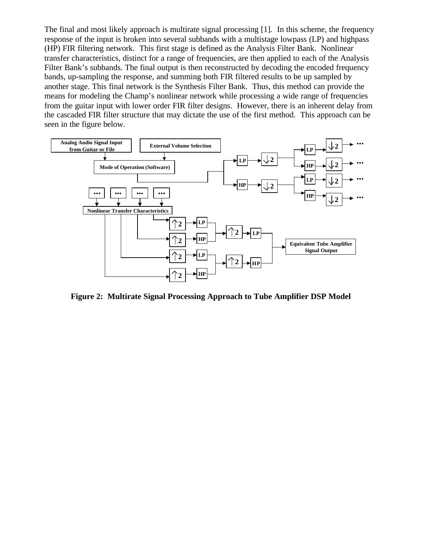The final and most likely approach is multirate signal processing [1]. In this scheme, the frequency response of the input is broken into several subbands with a multistage lowpass (LP) and highpass (HP) FIR filtering network. This first stage is defined as the Analysis Filter Bank. Nonlinear transfer characteristics, distinct for a range of frequencies, are then applied to each of the Analysis Filter Bank's subbands. The final output is then reconstructed by decoding the encoded frequency bands, up-sampling the response, and summing both FIR filtered results to be up sampled by another stage. This final network is the Synthesis Filter Bank. Thus, this method can provide the means for modeling the Champ's nonlinear network while processing a wide range of frequencies from the guitar input with lower order FIR filter designs. However, there is an inherent delay from the cascaded FIR filter structure that may dictate the use of the first method. This approach can be seen in the figure below.



**Figure 2: Multirate Signal Processing Approach to Tube Amplifier DSP Model**